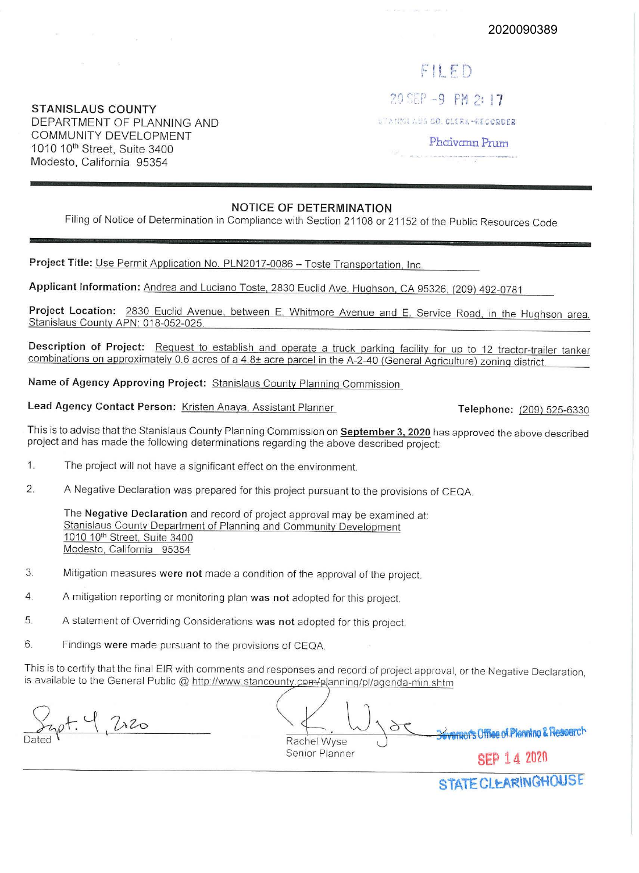**STANISLAUS COUNTY**  DEPARTMENT OF PLANNING AND COMMUNITY DEVELOPMENT 1010 10th Street, Suite 3400 Modesto, California 95354

## $F \parallel F D$

20 SEP -9 PM 2: 17

UTANKIAUS CO. CIERR-RECORDER

Phaivann Prum

## **NOTICE OF DETERMINATION**

Filing of Notice of Determination in Compliance with Section 21108 or 21152 of the Public Resources Code

Project Title: Use Permit Application No. PLN2017-0086 - Toste Transportation, Inc.

**Applicant Information:** Andrea and Luciano Toste, 2830 Euclid Ave, Hughson. CA 95326, (209) 492-0781

**Project Location:** 2830 Euclid Avenue, between E. Whitmore Avenue and E. Service Road, in the Hughson area. Stanislaus County APN: 018-052-025.

**Description of Project:** Request to establish and operate a truck parking facility for up to 12 tractor-trailer tanker combinations on approximately 0.6 acres of a 4.8± acre parcel in the A-2-40 (General Agriculture) zoning district.

**Name of Agency Approving Project:** Stanislaus County Planning Commission

**Lead Agency Contact Person:** Kristen Anaya, Assistant Planner **Telephone:** (209) 525-6330

This is to advise that the Stanislaus County Planning Commission on **September 3, 2020** has approved the above described project and has made the following determinations regarding the above described project:

- 1. The project will not have a significant effect on the environment.
- 2. A Negative Declaration was prepared for this project pursuant to the provisions of CEQA

The **Negative Declaration** and record of project approval may be examined at: Stanislaus County Department of Planning and Community Development 1010 10<sup>th</sup> Street, Suite 3400 Modesto, California 95354

- 3. Mitigation measures **were not** made a condition of the approval of the project.
- 4. A mitigation reporting or monitoring plan **was not** adopted for this project.
- 5 A statement of Overriding Considerations **was not** adopted for this project.
- 6. Findings **were** made pursuant to the provisions of CEQA

This is to certify that the final EIR with comments and responses and record of project approval, or the Negative Declaration. is available to the General Public @ http://www.stancounty.com/planning/pl/agenda-min.shtm

 $pH.4220$ 

 $\overline{\cup}_{1}$ Rachel Wyse Senior Planner **Bovemen's Office of Planning & Resperch** 

**SEP** 14 2020

STATE CLEARINGHOUSE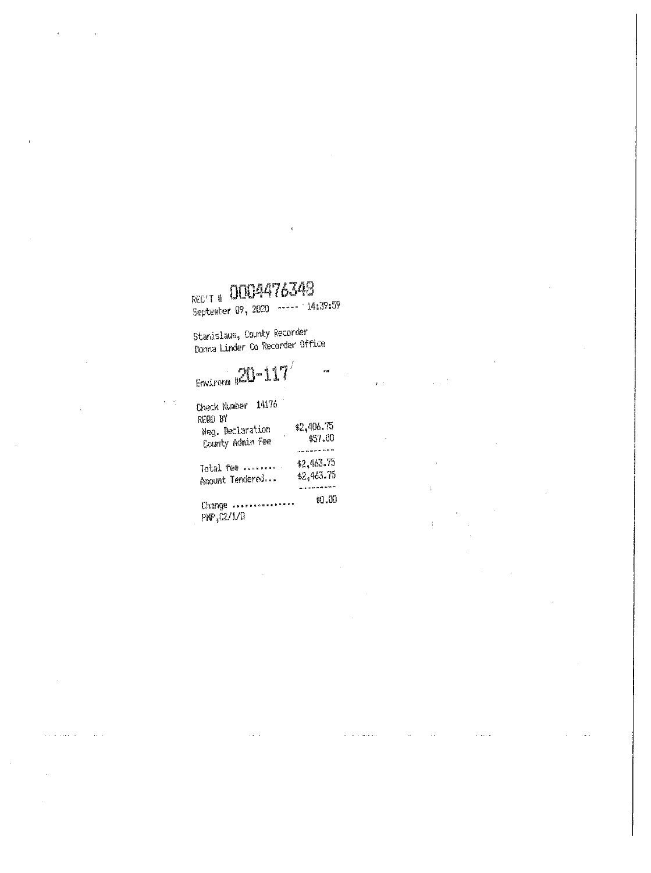$\ddot{\phantom{0}}$ 

 $\epsilon^{-1}$ 

a comunica

 $\bar{\mathcal{A}}$ 

 $\sim 10^7$ 

 $\bar{\Gamma}$ 

 $\frac{1}{3}$ 

 $\hat{z}$  and  $\hat{z}$ 

REC'T # 0004476348

Stanislaus, County Recorder<br>Donna Linder Co Recorder Office

# $rac{20-117}{2}$

| 14176<br>Check Number                                      |                                      |
|------------------------------------------------------------|--------------------------------------|
| REQU <sup>BY</sup><br>Neg. Declaration<br>County Admin Fee | \$2,406.75<br>\$57.00                |
| Total fee<br>Amount Tendered                               | \$2,463.75<br>\$2,463.75<br>-------- |
| <b>**************</b><br>Change<br>.                       | \$0.00                               |

 $PMP_1$  $2/1/0$ 

 $\sim$   $\sim$ 

 $\epsilon$  (  $\eta$ 

 $\mathcal{L}$  is a series of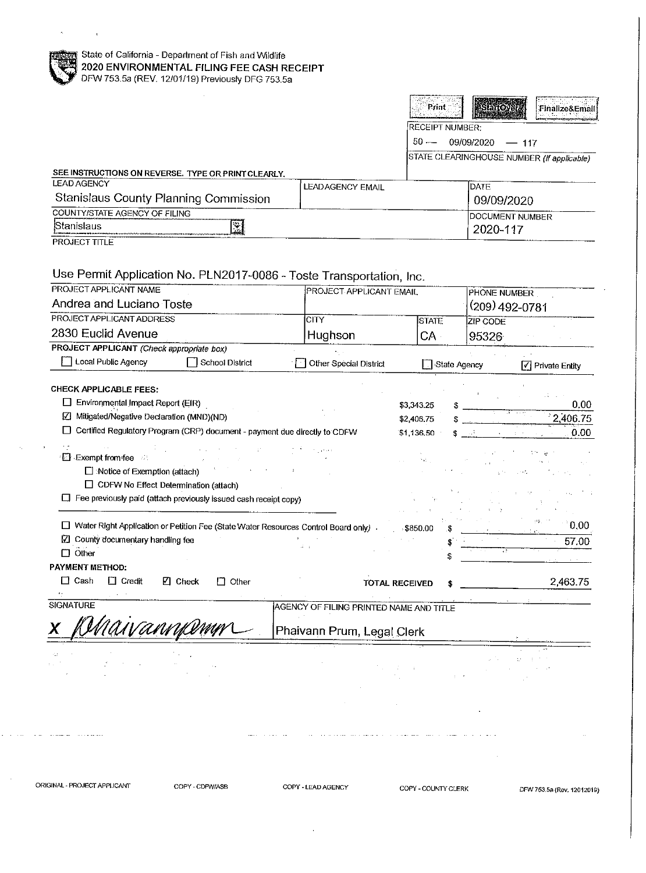|                                                                                                        |                                                                                        |                                         |                          | Print           |                                    |                                            |
|--------------------------------------------------------------------------------------------------------|----------------------------------------------------------------------------------------|-----------------------------------------|--------------------------|-----------------|------------------------------------|--------------------------------------------|
|                                                                                                        |                                                                                        |                                         |                          |                 | <b>StanCy</b>                      | Finalize&Email                             |
|                                                                                                        |                                                                                        |                                         |                          | RECEIPT NUMBER: |                                    |                                            |
|                                                                                                        |                                                                                        |                                         |                          | $50 -$          | 09/09/2020                         | $-117$                                     |
|                                                                                                        |                                                                                        |                                         |                          |                 |                                    | STATE CLEARINGHOUSE NUMBER (If applicable) |
| SEE INSTRUCTIONS ON REVERSE. TYPE OR PRINT CLEARLY.<br><b>LEAD AGENCY</b>                              |                                                                                        | <b>LEADAGENCY EMAIL</b>                 |                          |                 | <b>DATE</b>                        |                                            |
| Stanislaus County Planning Commission                                                                  |                                                                                        |                                         |                          |                 | 09/09/2020                         |                                            |
| <b>COUNTY/STATE AGENCY OF FILING</b>                                                                   |                                                                                        |                                         |                          |                 | <b>DOCUMENT NUMBER</b>             |                                            |
| Stanislaus                                                                                             | 図                                                                                      |                                         |                          |                 | 2020-117                           |                                            |
| <b>PROJECT TITLE</b>                                                                                   |                                                                                        |                                         |                          |                 |                                    |                                            |
|                                                                                                        |                                                                                        |                                         |                          |                 |                                    |                                            |
| Use Permit Application No. PLN2017-0086 - Toste Transportation, Inc.                                   |                                                                                        |                                         |                          |                 |                                    |                                            |
| PROJECT APPLICANT NAME                                                                                 |                                                                                        | PROJECT APPLICANT EMAIL                 |                          |                 | PHONE NUMBER                       |                                            |
| Andrea and Luciano Toste                                                                               |                                                                                        |                                         |                          |                 | (209) 492-0781                     |                                            |
| PROJECT APPLICANT ADDRESS                                                                              |                                                                                        | <b>CITY</b>                             |                          | <b>STATE</b>    | ZIP CODE                           |                                            |
| 2830 Euclid Avenue<br>PROJECT APPLICANT (Check appropriate box)                                        |                                                                                        | Hughson                                 |                          | $CA -$          | 95326                              |                                            |
| Local Public Agency                                                                                    | School District                                                                        | Other Special District                  |                          | □ State Agency  |                                    | $\sqrt{\phantom{a}}$ Private Entity        |
|                                                                                                        | □ Certified Regulatory Program (CRP) document - payment due directly to CDFW           |                                         | \$2,406.75<br>\$1 136.50 |                 | SS 53°<br>$\mathbf{q} = (1,1,1,1)$ | 2,406.75<br>0.00                           |
| <b>Exempt from fee</b><br>Notice of Exemption (attach)<br>$\Box$ CDFW No Effect Determination (attach) | $\Box$ Fee previously paid (attach previously issued cash receipt copy)                |                                         |                          | $M_{\rm H}$     | こうし しゃる<br>しょうしゃ キャランド             |                                            |
|                                                                                                        |                                                                                        |                                         |                          |                 |                                    | 0.00                                       |
| ■ County documentary handling fee                                                                      | □ Water Right Application or Petition Fee (State Water Resources Control Board only) . |                                         | : \$850.00               |                 |                                    | 57.00                                      |
| $\Box$ Other                                                                                           |                                                                                        | $\mathcal{L}=\pm$                       |                          |                 |                                    |                                            |
| <b>PAYMENT METHOD:</b>                                                                                 |                                                                                        |                                         |                          |                 |                                    |                                            |
| $\Box$ Cash<br>$\Box$ Credit                                                                           | $\boxtimes$ Check<br>$\Box$ Other                                                      |                                         | <b>TOTAL RECEIVED</b>    |                 |                                    | 2,463.75                                   |
| ÷.<br>SIGNATURE                                                                                        |                                                                                        |                                         |                          |                 |                                    |                                            |
|                                                                                                        |                                                                                        | AGENCY OF FILING PRINTED NAME AND TITLE |                          |                 |                                    |                                            |
|                                                                                                        |                                                                                        |                                         |                          |                 |                                    |                                            |
| A.                                                                                                     |                                                                                        | Phaivann Prum, Legal Clerk              |                          |                 |                                    |                                            |
|                                                                                                        |                                                                                        |                                         |                          |                 |                                    |                                            |
|                                                                                                        |                                                                                        |                                         |                          |                 |                                    |                                            |

 $\sigma_{\rm{max}} = \frac{1}{\sqrt{2}}$ 

 $\sim$